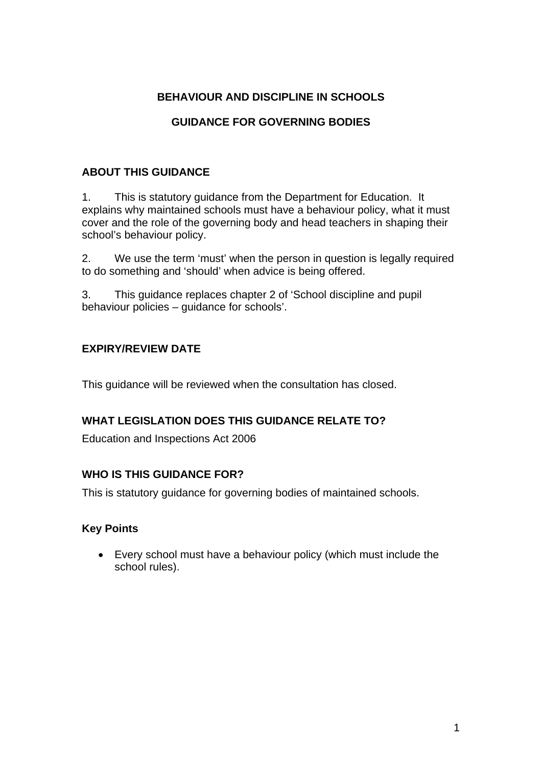### **BEHAVIOUR AND DISCIPLINE IN SCHOOLS**

# **GUIDANCE FOR GOVERNING BODIES**

### **ABOUT THIS GUIDANCE**

1. This is statutory guidance from the Department for Education. It explains why maintained schools must have a behaviour policy, what it must cover and the role of the governing body and head teachers in shaping their school's behaviour policy.

2. We use the term 'must' when the person in question is legally required to do something and 'should' when advice is being offered.

3. This guidance replaces chapter 2 of 'School discipline and pupil behaviour policies – guidance for schools'.

## **EXPIRY/REVIEW DATE**

This guidance will be reviewed when the consultation has closed.

### **WHAT LEGISLATION DOES THIS GUIDANCE RELATE TO?**

Education and Inspections Act 2006

### **WHO IS THIS GUIDANCE FOR?**

This is statutory guidance for governing bodies of maintained schools.

### **Key Points**

• Every school must have a behaviour policy (which must include the school rules).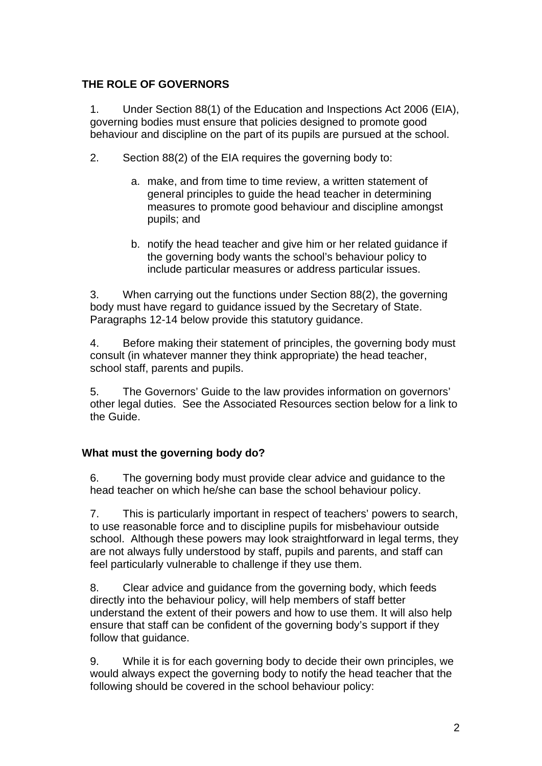### **THE ROLE OF GOVERNORS**

1. Under Section 88(1) of the Education and Inspections Act 2006 (EIA), governing bodies must ensure that policies designed to promote good behaviour and discipline on the part of its pupils are pursued at the school.

- 2. Section 88(2) of the EIA requires the governing body to:
	- a. make, and from time to time review, a written statement of general principles to guide the head teacher in determining measures to promote good behaviour and discipline amongst pupils; and
	- b. notify the head teacher and give him or her related guidance if the governing body wants the school's behaviour policy to include particular measures or address particular issues.

3. When carrying out the functions under Section 88(2), the governing body must have regard to guidance issued by the Secretary of State. Paragraphs 12-14 below provide this statutory guidance.

4. Before making their statement of principles, the governing body must consult (in whatever manner they think appropriate) the head teacher, school staff, parents and pupils.

5. The Governors' Guide to the law provides information on governors' other legal duties. See the Associated Resources section below for a link to the Guide.

### **What must the governing body do?**

6. The governing body must provide clear advice and guidance to the head teacher on which he/she can base the school behaviour policy.

7. This is particularly important in respect of teachers' powers to search, to use reasonable force and to discipline pupils for misbehaviour outside school. Although these powers may look straightforward in legal terms, they are not always fully understood by staff, pupils and parents, and staff can feel particularly vulnerable to challenge if they use them.

8. Clear advice and guidance from the governing body, which feeds directly into the behaviour policy, will help members of staff better understand the extent of their powers and how to use them. It will also help ensure that staff can be confident of the governing body's support if they follow that guidance.

9. While it is for each governing body to decide their own principles, we would always expect the governing body to notify the head teacher that the following should be covered in the school behaviour policy: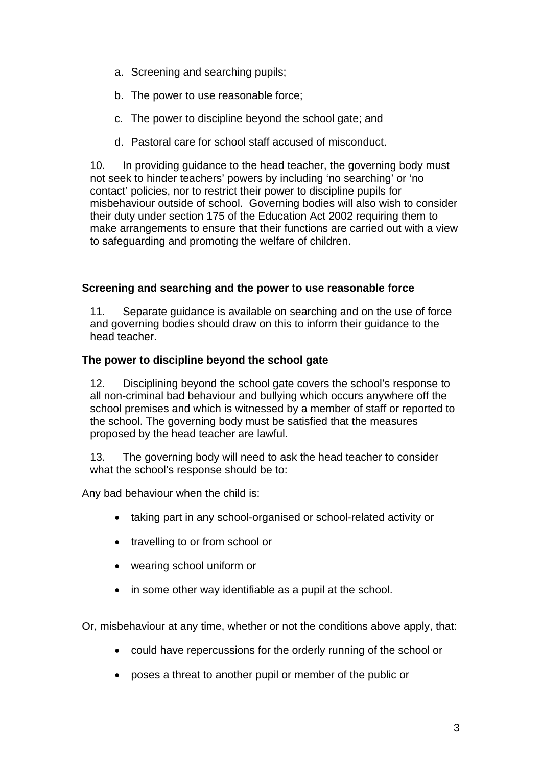- a. Screening and searching pupils;
- b. The power to use reasonable force;
- c. The power to discipline beyond the school gate; and
- d. Pastoral care for school staff accused of misconduct.

10. In providing guidance to the head teacher, the governing body must not seek to hinder teachers' powers by including 'no searching' or 'no contact' policies, nor to restrict their power to discipline pupils for misbehaviour outside of school. Governing bodies will also wish to consider their duty under section 175 of the Education Act 2002 requiring them to make arrangements to ensure that their functions are carried out with a view to safeguarding and promoting the welfare of children.

#### **Screening and searching and the power to use reasonable force**

11. Separate guidance is available on searching and on the use of force and governing bodies should draw on this to inform their guidance to the head teacher.

#### **The power to discipline beyond the school gate**

12. Disciplining beyond the school gate covers the school's response to all non-criminal bad behaviour and bullying which occurs anywhere off the school premises and which is witnessed by a member of staff or reported to the school. The governing body must be satisfied that the measures proposed by the head teacher are lawful.

13. The governing body will need to ask the head teacher to consider what the school's response should be to:

Any bad behaviour when the child is:

- taking part in any school-organised or school-related activity or
- travelling to or from school or
- wearing school uniform or
- in some other way identifiable as a pupil at the school.

Or, misbehaviour at any time, whether or not the conditions above apply, that:

- could have repercussions for the orderly running of the school or
- poses a threat to another pupil or member of the public or